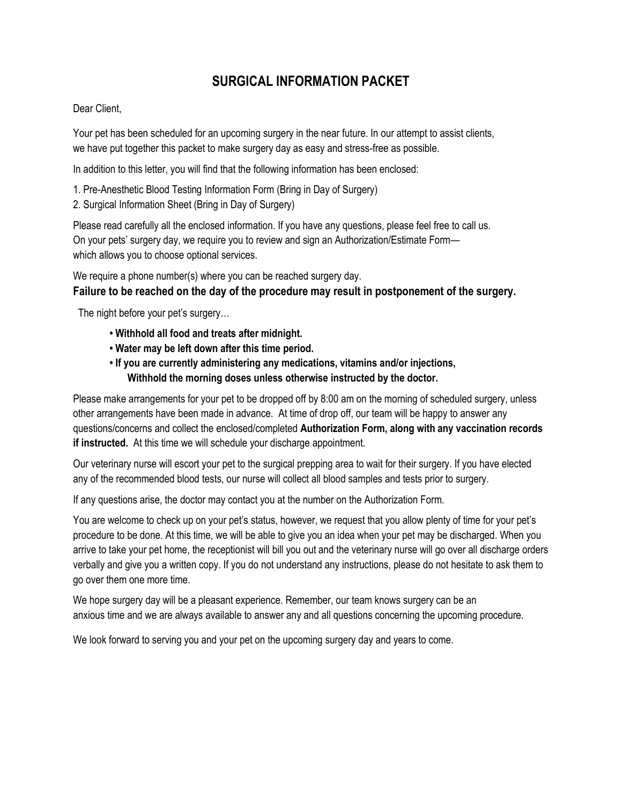# **SURGICAL INFORMATION PACKET**

## Dear Client,

Your pet has been scheduled for an upcoming surgery in the near future. In our attempt to assist clients, we have put together this packet to make surgery day as easy and stress-free as possible.

In addition to this letter, you will find that the following information has been enclosed:

- 1. Pre-Anesthetic Blood Testing Information Form (Bring in Day of Surgery)
- 2. Surgical Information Sheet (Bring in Day of Surgery)

Please read carefully all the enclosed information. If you have any questions, please feel free to call us. On your pets' surgery day, we require you to review and sign an Authorization/Estimate Form which allows you to choose optional services.

We require a phone number(s) where you can be reached surgery day. **Failure to be reached on the day of the procedure may result in postponement of the surgery.** 

The night before your pet's surgery…

- **Withhold all food and treats after midnight.**
- **Water may be left down after this time period.**
- **If you are currently administering any medications, vitamins and/or injections, Withhold the morning doses unless otherwise instructed by the doctor.**

Please make arrangements for your pet to be dropped off by 8:00 am on the morning of scheduled surgery, unless other arrangements have been made in advance. At time of drop off, our team will be happy to answer any questions/concerns and collect the enclosed/completed **Authorization Form, along with any vaccination records if instructed.** At this time we will schedule your discharge appointment.

Our veterinary nurse will escort your pet to the surgical prepping area to wait for their surgery. If you have elected any of the recommended blood tests, our nurse will collect all blood samples and tests prior to surgery.

If any questions arise, the doctor may contact you at the number on the Authorization Form.

You are welcome to check up on your pet's status, however, we request that you allow plenty of time for your pet's procedure to be done. At this time, we will be able to give you an idea when your pet may be discharged. When you arrive to take your pet home, the receptionist will bill you out and the veterinary nurse will go over all discharge orders verbally and give you a written copy. If you do not understand any instructions, please do not hesitate to ask them to go over them one more time.

We hope surgery day will be a pleasant experience. Remember, our team knows surgery can be an anxious time and we are always available to answer any and all questions concerning the upcoming procedure.

We look forward to serving you and your pet on the upcoming surgery day and years to come.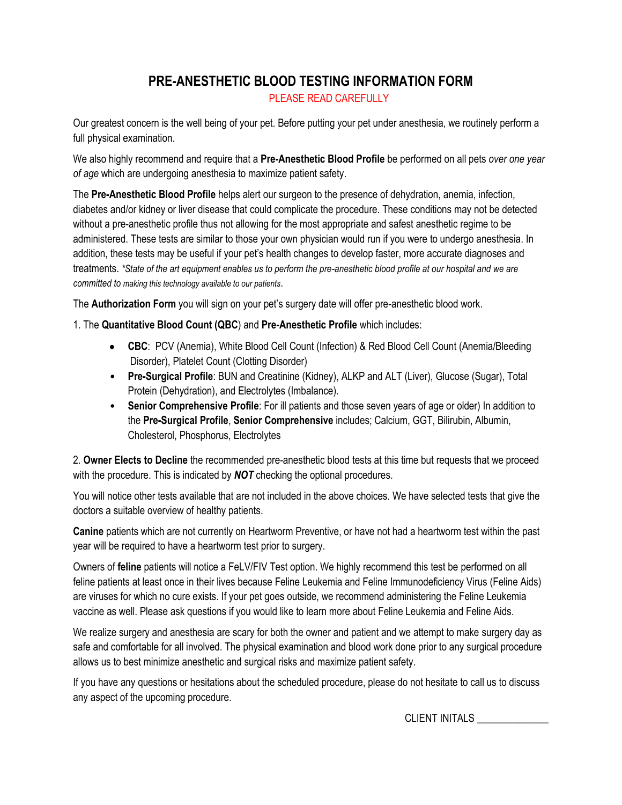# **PRE-ANESTHETIC BLOOD TESTING INFORMATION FORM** PLEASE READ CAREFULLY

Our greatest concern is the well being of your pet. Before putting your pet under anesthesia, we routinely perform a full physical examination.

We also highly recommend and require that a **Pre-Anesthetic Blood Profile** be performed on all pets *over one year of age* which are undergoing anesthesia to maximize patient safety.

The **Pre-Anesthetic Blood Profile** helps alert our surgeon to the presence of dehydration, anemia, infection, diabetes and/or kidney or liver disease that could complicate the procedure. These conditions may not be detected without a pre-anesthetic profile thus not allowing for the most appropriate and safest anesthetic regime to be administered. These tests are similar to those your own physician would run if you were to undergo anesthesia. In addition, these tests may be useful if your pet's health changes to develop faster, more accurate diagnoses and treatments. *\*State of the art equipment enables us to perform the pre-anesthetic blood profile at our hospital and we are committed to making this technology available to our patients*.

The **Authorization Form** you will sign on your pet's surgery date will offer pre-anesthetic blood work.

# 1. The **Quantitative Blood Count (QBC**) and **Pre-Anesthetic Profile** which includes:

- **CBC**: PCV (Anemia), White Blood Cell Count (Infection) & Red Blood Cell Count (Anemia/Bleeding Disorder), Platelet Count (Clotting Disorder)
- **Pre-Surgical Profile**: BUN and Creatinine (Kidney), ALKP and ALT (Liver), Glucose (Sugar), Total Protein (Dehydration), and Electrolytes (Imbalance).
- **Senior Comprehensive Profile**: For ill patients and those seven years of age or older) In addition to the **Pre-Surgical Profile**, **Senior Comprehensive** includes; Calcium, GGT, Bilirubin, Albumin, Cholesterol, Phosphorus, Electrolytes

2. **Owner Elects to Decline** the recommended pre-anesthetic blood tests at this time but requests that we proceed with the procedure. This is indicated by *NOT* checking the optional procedures.

You will notice other tests available that are not included in the above choices. We have selected tests that give the doctors a suitable overview of healthy patients.

**Canine** patients which are not currently on Heartworm Preventive, or have not had a heartworm test within the past year will be required to have a heartworm test prior to surgery.

Owners of **feline** patients will notice a FeLV/FIV Test option. We highly recommend this test be performed on all feline patients at least once in their lives because Feline Leukemia and Feline Immunodeficiency Virus (Feline Aids) are viruses for which no cure exists. If your pet goes outside, we recommend administering the Feline Leukemia vaccine as well. Please ask questions if you would like to learn more about Feline Leukemia and Feline Aids.

We realize surgery and anesthesia are scary for both the owner and patient and we attempt to make surgery day as safe and comfortable for all involved. The physical examination and blood work done prior to any surgical procedure allows us to best minimize anesthetic and surgical risks and maximize patient safety.

If you have any questions or hesitations about the scheduled procedure, please do not hesitate to call us to discuss any aspect of the upcoming procedure.

CLIENT INITALS \_\_\_\_\_\_\_\_\_\_\_\_\_\_